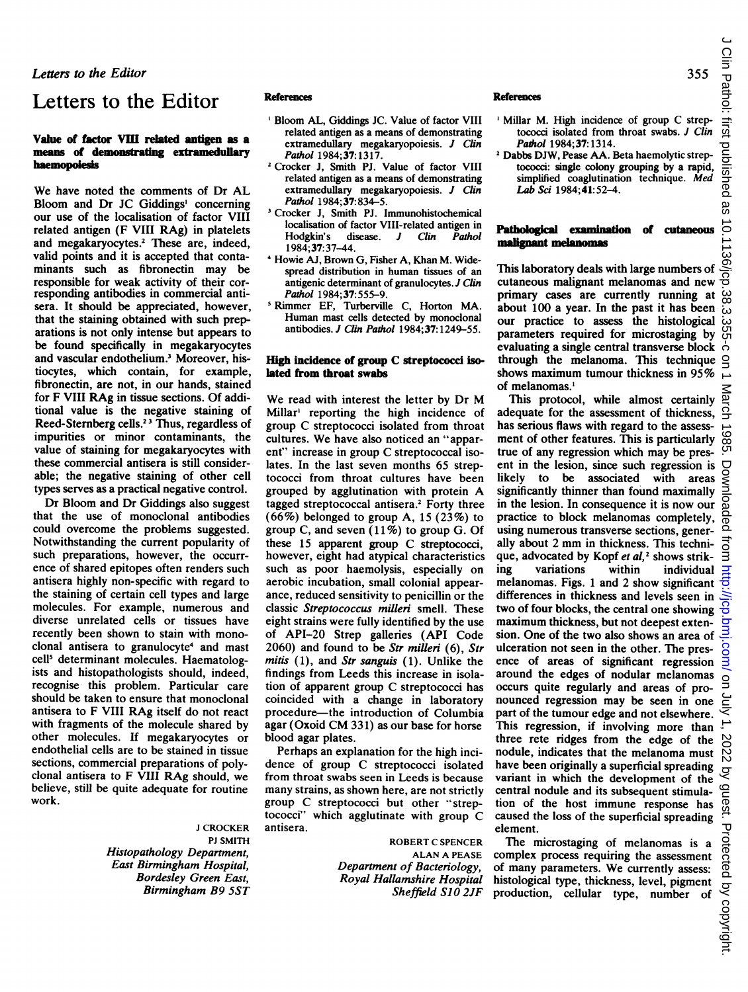Letters to the Editor

# Letters to the Editor

#### Value of factor VIII related antigen as a means of demonstrating extramedullary haemopoiesis

We have noted the comments of Dr AL Bloom and Dr JC Giddings' concerning our use of the localisation of factor VIII related antigen (F VIII RAg) in platelets and megakaryocytes.<sup>2</sup> These are, indeed, valid points and it is accepted that contaminants such as fibronectin may be responsible for weak activity of their corresponding antibodies in commercial antisera. It should be appreciated, however, that the staining obtained with such preparations is not only intense but appears to be found specifically in megakaryocytes and vascular endothelium.<sup>3</sup> Moreover, histiocytes, which contain, for example, fibronectin, are not, in our hands, stained for F VIII RAg in tissue sections. Of additional value is the negative staining of Reed-Stemberg cells.23 Thus, regardless of impurities or minor contaminants, the value of staining for megakaryocytes with these commercial antisera is still considerable; the negative staining of other cell types serves as a practical negative control.

Dr Bloom and Dr Giddings also suggest that the use of monoclonal antibodies could overcome the problems suggested. Notwithstanding the current popularity of such preparations, however, the occurrence of shared epitopes often renders such antisera highly non-specific with regard to the staining of certain cell types and large molecules. For example, numerous and diverse unrelated cells or tissues have recently been shown to stain with monoclonal antisera to granulocyte<sup>4</sup> and mast cell<sup>5</sup> determinant molecules. Haematologists and histopathologists should, indeed, recognise this problem. Particular care should be taken to ensure that monoclonal antisera to F VIII RAg itself do not react with fragments of the molecule shared by other molecules. If megakaryocytes or endothelial cells are to be stained in tissue sections, commercial preparations of polyclonal antisera to F VIII RAg should, we believe, still be quite adequate for routine work.

> <sup>J</sup> CROCKER PJ SMITH Histopathology Department, East Birmingham Hospital, Bordesley Green East, Birmingham B9 SST

### References

- 'Bloom AL, Giddings JC. Value of factor VIII related antigen as a means of demonstrating extramedullary megakaryopoiesis. J Clin Pathol 1984;37:1317.
- <sup>2</sup> Crocker J, Smith PJ. Value of factor VIII related antigen as a means of demonstrating extramedullary megakaryopoiesis. J Clin Pathol 1984:37:834-5.
- <sup>3</sup> Crocker J, Smith PJ. Immunohistochemical localisation of factor VIII-related antigen in<br>Hodgkin's disease. J Clin Pathol  $discase.$  J Clin Pathol 1984;37:37-44.
- Howie AJ, Brown G, Fisher A, Khan M. Widespread distribution in human tissues of an antigenic determinant of granulocytes. J Clin Pathol 1984;37:555-9.
- 'Rimmer EF, Turberville C, Horton MA. Human mast cells detected by monoclonal antibodies. J Clin Pathol 1984;37: 1249-55.

### High incidence of group C streptococci isolated from throat swabs

We read with interest the letter by Dr M Millar' reporting the high incidence of group C streptococci isolated from throat cultures. We have also noticed an "apparent" increase in group C streptococcal isolates. In the last seven months 65 streptococci from throat cultures have been grouped by agglutination with protein A tagged streptococcal antisera.<sup>2</sup> Forty three  $(66\%)$  belonged to group A, 15 (23%) to group C, and seven  $(11\%)$  to group G. Of these <sup>15</sup> apparent group C streptococci, however, eight had atypical characteristics such as poor haemolysis, especially on aerobic incubation, small colonial appearance, reduced sensitivity to penicillin or the classic Streptococcus milleri smell. These eight strains were fully identified by the use of API-20 Strep galleries (API Code 2060) and found to be Str milleri  $(6)$ , Str mitis  $(1)$ , and *Str sanguis*  $(1)$ . Unlike the findings from Leeds this increase in isolation of apparent group C streptococci has coincided with a change in laboratory procedure-the introduction of Columbia agar (Oxoid CM 331) as our base for horse blood agar plates.

Perhaps an explanation for the high incidence of group C streptococci isolated from throat swabs seen in Leeds is because many strains, as shown here, are not strictly group C streptococci but other "streptococci" which agglutinate with group C antisera.

> ROBERT C SPENCER ALAN A PEASE Department of Bacteriology, Royal Hallamshire Hospital Sheffield S10 2JF

#### References

- ' Millar M. High incidence of group C streptococci isolated from throat swabs. J Clin Pathol 1984;37:1314.
- <sup>2</sup> Dabbs DJW, Pease AA. Beta haemolytic streptococci: single colony grouping by a rapid, simplified coaglutination technique. Med Lab Sci 1984;41:52-4.

### Pathological examination of cutaneous malignant melanomas

This laboratory deals with large numbers of cutaneous malignant melanomas and new primary cases are currently running at about 100 a year. In the past it has been our practice to assess the histological parameters required for microstaging by evaluating a single central transverse block through the melanoma. This technique shows maximum tumour thickness in 95% of melanomas.'

This protocol, while almost certainly  $\frac{5}{9}$ <br>lequate for the assessment of thickness,  $\frac{3}{5}$ adequate for the assessment of thickness, has serious flaws with regard to the assessment of other features. This is particularly true of any regression which may be present in the lesion, since such regression is likely to be associated with areas significantly thinner than found maximally in the lesion. In consequence it is now our practice to block melanomas completely, using numerous transverse sections, generally about <sup>2</sup> mm in thickness. This technique, advocated by Kopf et  $al$ ,<sup>2</sup> shows strik-<br>ing variations within individual individual melanomas. Figs. <sup>1</sup> and 2 show significant differences in thickness and levels seen in two of four blocks, the central one showing maximum thickness, but not deepest extension. One of the two also shows an area of ulceration not seen in the other. The presence of areas of significant regression around the edges of nodular melanomas occurs quite regularly and areas of pronounced regression may be seen in one part of the tumour edge and not elsewhere. This regression, if involving more than three rete ridges from the edge of the nodule, indicates that the melanoma must have been originally a superficial spreading variant in which the development of the central nodule and its subsequent stimulation of the host immune response has caused the loss of the superficial spreading element.

The microstaging of melanomas is a complex process requiring the assessment of many parameters. We currently assess: histological type, thickness, level, pigment production, cellular type, number of